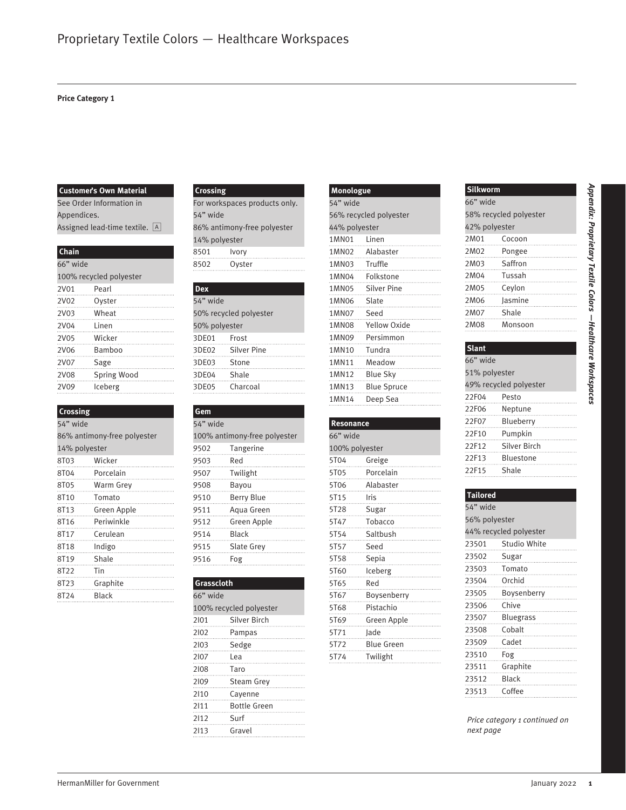#### **Price Category 1**

#### **Customer's Own Material**

See Order Information in Appendices. Assigned lead-time textile.  $\boxed{A}$ 

#### **Chain**

| 66" wide |                         |  |  |  |  |  |
|----------|-------------------------|--|--|--|--|--|
|          | 100% recycled polyester |  |  |  |  |  |
| 2V01     | Pearl                   |  |  |  |  |  |
| 2V02     | Ovster                  |  |  |  |  |  |
| 2V03     | Wheat                   |  |  |  |  |  |
| 2V04     | l inen                  |  |  |  |  |  |
| 2V05     | Wicker                  |  |  |  |  |  |
| 2V06     | Bamboo                  |  |  |  |  |  |
| 2V07     | Sage                    |  |  |  |  |  |
| 2V08     | Spring Wood             |  |  |  |  |  |
| 2V09     | Iceberg                 |  |  |  |  |  |
|          |                         |  |  |  |  |  |

#### **Crossing**

| 54" wide                    |             |  |
|-----------------------------|-------------|--|
| 86% antimony-free polyester |             |  |
| 14% polyester               |             |  |
| 8T03                        | Wicker      |  |
| 8T04                        | Porcelain   |  |
| 8T05                        | Warm Grey   |  |
| 8T10                        | Tomato      |  |
| 8T13                        | Green Apple |  |
| 8T16                        | Periwinkle  |  |
| 8T17                        | Cerulean    |  |
| 8T18 a                      | Indigo      |  |
| 8T19                        | Shale       |  |
| 8T22                        | $T$ in      |  |
| 8T23 and a                  | Graphite    |  |
| 8T24                        | Black       |  |

#### **Crossing**

For workspaces products only. 54" wide 86% antimony-free polyester 14% polyester 8501 Ivory 8502 Oyster

| <b>Dex</b>     |                        |
|----------------|------------------------|
| 54" wide       |                        |
|                | 50% recycled polyester |
| 50% polyester  |                        |
| 3DE01 Frost    |                        |
|                | 3DE02 Silver Pine      |
| 3DE03 Stone    |                        |
| 3DE04 Shale    |                        |
| 3DE05 Charcoal |                        |
|                |                        |

#### **Gem** 54" wide 100% antimony-free polyester 9502 Tangerine 9503 Red 9507 Twilight 9508 Bayou 9510 Berry Blue 9511 Aqua Green 9512 Green Apple 9514 Black 9515 Slate Grey 9516 Fog

#### **Grasscloth** 66" wide 100% recycled polyester 2I01 Silver Birch 2I02 Pampas 2I03 Sedge 2I07 Lea 2I08 Taro 2I09 Steam Grey 2I10 Cayenne 2I11 Bottle Green 2I12 Surf 2I13 Gravel

| Monologue     |                        |
|---------------|------------------------|
| 54" wide      |                        |
|               | 56% recycled polyester |
| 44% polyester |                        |
|               | 1MN01 Linen            |
|               | 1MN02 Alabaster        |
|               | 1MN03 Truffle          |
|               |                        |
|               | 1MN05 Silver Pine      |
|               | 1MN06 Slate            |
| 1MN07 Seed    |                        |
|               | 1MN08 Yellow Oxide     |
|               |                        |
|               | 1MN10 Tundra           |
|               | IMN11 Meadow           |
|               |                        |
|               |                        |
|               | 1MN14 Deep Sea         |
|               |                        |

# Colorado Colorado Colorado Colorado Colorado Colorado Colorado Colorado Colorado Colorado Colorado Colorado Colorado Colorado Colorado Colorado Colorado Colorado Colorado Colorado Colorado Colorado Colorado Colorado Colora **Resonance** 66" wide 100% polyester 5T04 Greige 5T05 Porcelain 5T06 Alabaster 5T15 Iris 5T28 Sugar 5T47 Tobacco 5T54 Saltbush 5T57 Seed 5T58 Sepia 5T60 Iceberg 5T65 Red 5T67 Boysenberry 5T68 Pistachio 5T69 Green Apple 5T71 Jade 5T72 Blue Green 5T74 Twilight

| Silkworm      |                        |
|---------------|------------------------|
| 66" wide      |                        |
|               | 58% recycled polyester |
| 42% polyester |                        |
| 2M01          | Cocoon                 |
| 2M02          | Pongee                 |
| 2M03 Saffron  |                        |
| 2M04          | Tussah                 |
| 2M05          | Ceylon                 |
| 2M06          | lasmine                |
| 2M07          | Shale                  |
| 2M08          | Monsoon                |
|               |                        |

#### **Slant** 66" wide 51% polyester 49% recycled polyester 22F04 Pesto 22F06 Neptune 22F07 Blueberry 22F10 Pumpkin 22F12 Silver Birch 22F13 Bluestone 22F15 Shale

| <b>Tailored</b> |                         |
|-----------------|-------------------------|
| 54" wide        |                         |
| 56% polyester   |                         |
|                 | 44% recycled polyester  |
|                 | 23501 Studio White<br>. |
|                 | 23502 Sugar             |
|                 | 23503 Tomato            |
|                 | 23504 Orchid            |
|                 | 23505 Boysenberry       |
| 23506 Chive     |                         |
|                 | 23507 Bluegrass         |
|                 | 23508 Cobalt            |
|                 | 23509 Cadet             |
| 23510           | Fog                     |
| 23511           | Graphite                |
| 23512 Black     |                         |
| 23513 Coffee    |                         |

*Price category 1 continued on next page*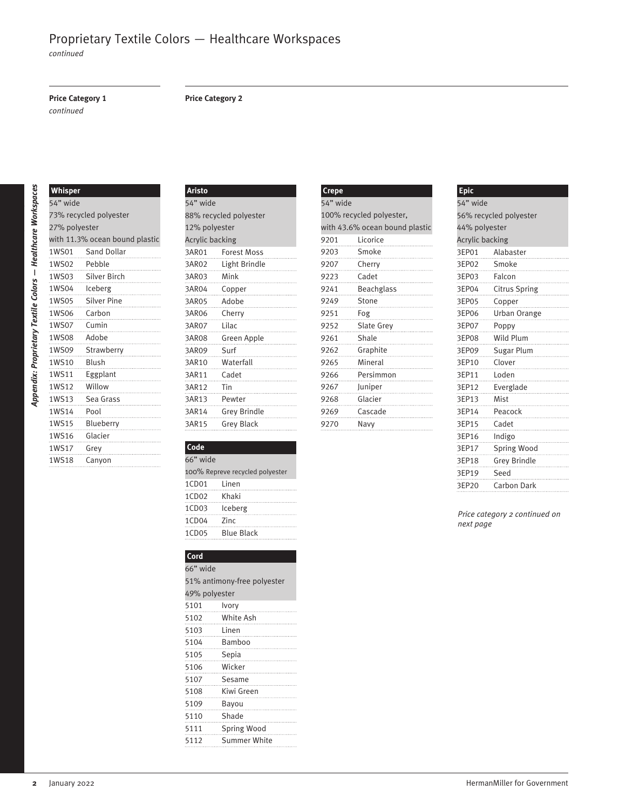*continued*

#### **Price Category 1**

*continued*

#### **Price Category 2**

### **Whisper** " wide

| 73% recycled polyester |                                |  |  |  |
|------------------------|--------------------------------|--|--|--|
| 27% polyester          |                                |  |  |  |
|                        | with 11.3% ocean bound plastic |  |  |  |
| 1WS01                  | Sand Dollar                    |  |  |  |
| 1WS02                  | Pebble                         |  |  |  |
|                        | 1WS03 Silver Birch             |  |  |  |
|                        | 1WS04 Iceberg                  |  |  |  |
| 1WS05                  | <b>Silver Pine</b>             |  |  |  |
| 1WS06                  | Carbon                         |  |  |  |
| 1WS07                  | Cumin                          |  |  |  |
| 1WS08                  | Adobe                          |  |  |  |
| 1WS09                  | Strawberry                     |  |  |  |
| 1WS10                  | <b>Blush</b>                   |  |  |  |
| 1WS11                  | Eggplant                       |  |  |  |
| 1WS12                  | Willow                         |  |  |  |
| 1WS13                  | Sea Grass                      |  |  |  |
| 1WS14                  | Pool                           |  |  |  |
| 1WS15                  | Blueberry                      |  |  |  |
| 1WS16                  | Glacier                        |  |  |  |
| 1WS17                  | Grey                           |  |  |  |
| 1WS18                  | Canyon                         |  |  |  |

| Aristo                 |                        |
|------------------------|------------------------|
| 54" wide               |                        |
|                        | 88% recycled polyester |
| 12% polyester          |                        |
| <b>Acrylic backing</b> |                        |
|                        | 3AR01 Forest Moss      |
|                        | 3AR02 Light Brindle    |
|                        | 3AR03 Mink             |
|                        | 3AR04 Copper           |
|                        |                        |
|                        | 3AR06 Cherry           |
| 3AR07    Lilac         |                        |
|                        |                        |
| 3AR09 Surf             |                        |
|                        |                        |
|                        | BAR11 Cadet            |
| 3AR12 Tin              |                        |
| 3AR13 Pewter           |                        |
|                        | SAR14 Grey Brindle     |
| 3AR15                  | Grey Black             |

100% Repreve recycled polyester

% antimony-free polyester

**Code** " wide

**Cord** " wide

% polyester Ivory White Ash Linen Bamboo Sepia Wicker Sesame Kiwi Green Bayou Shade 5111 Spring Wood Summer White

1CD01 Linen 1CD02 Khaki 1CD03 Iceberg 1CD04 Zinc 1CD05 Blue Black

| <b>Crepe</b> |                                |
|--------------|--------------------------------|
| 54" wide     |                                |
|              | 100% recycled polyester,       |
|              | with 43.6% ocean bound plastic |
|              | 9201 Licorice                  |
|              | 9203 Smoke                     |
|              | 9207 Cherry                    |
|              | 9223 Cadet                     |
| 9241         | Beachglass                     |
|              | 9249 Stone                     |
| 9251         | Fog                            |
|              | 9252 Slate Grey                |
|              | 9261 Shale                     |
|              | 9262 Graphite                  |
|              | n<br>9265 Mineral              |
|              | 9266 Persimmon                 |
|              | 9267 Juniper                   |
| 9268         | Glacier                        |
|              | 9269 Cascade                   |
| 9270         | Navv                           |

#### **Epic** " wide % recycled polyester % polyester Acrylic backing EP01 Alabaster EP02 Smoke EP03 Falcon EP04 Citrus Spring EP05 Copper EP06 Urban Orange EP07 Poppy EP08 Wild Plum EP09 Sugar Plum EP10 Clover EP11 Loden EP12 Everglade EP13 Mist EP14 Peacock EP15 Cadet EP16 Indigo EP17 Spring Wood EP18 Grey Brindle EP19 Seed EP20 Carbon Dark

*Price category 2 continued on next page*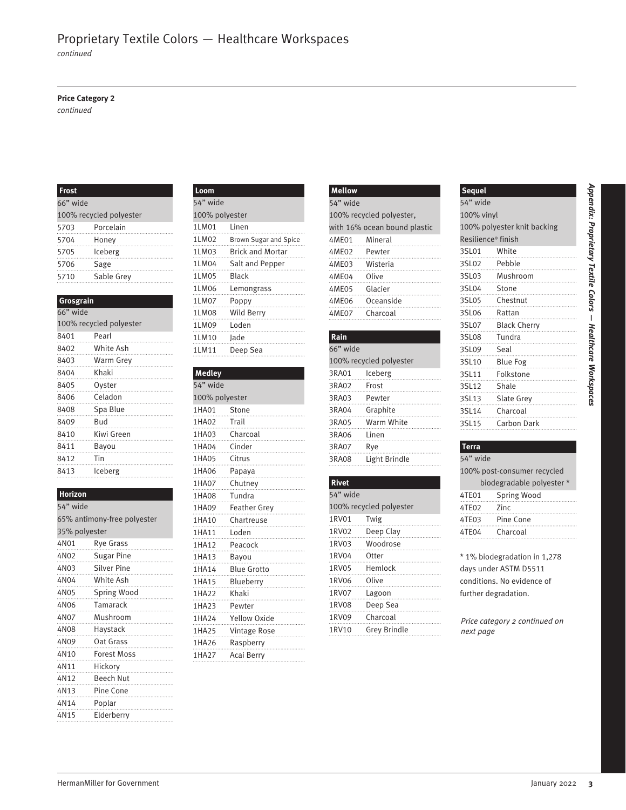*continued*

#### **Price Category 2**

*continued*

#### **Frost**

| 66" wide          |                         |  |  |
|-------------------|-------------------------|--|--|
|                   | 100% recycled polyester |  |  |
| 5703              | Porcelain               |  |  |
| 5704              | Honey                   |  |  |
| 5705              | Iceberg                 |  |  |
| 5706              | Sage                    |  |  |
| 5710<br>)<br>………… | Sable Grey              |  |  |

#### **Grosgrain**

| 66" wide                |            |  |
|-------------------------|------------|--|
| 100% recycled polyester |            |  |
| 8401                    | Pearl      |  |
| 8402                    | White Ash  |  |
| 8403                    | Warm Grey  |  |
| 8404                    | Khaki      |  |
| 8405                    | Ovster     |  |
| 8406                    | Celadon    |  |
| 8408                    | Spa Blue   |  |
| 8409                    | Bud        |  |
| 8410                    | Kiwi Green |  |
| 8411                    | Bayou      |  |
| 8412                    | Tin        |  |
| 8413                    | lceberg    |  |

#### **Horizon**

| 54" wide                    |                     |  |  |
|-----------------------------|---------------------|--|--|
| 65% antimony-free polyester |                     |  |  |
| 35% polyester               |                     |  |  |
| 4N01                        | Rye Grass           |  |  |
| 4N02                        | Sugar Pine          |  |  |
| 4N03 and a                  | Silver Pine         |  |  |
|                             | 4N04 White Ash<br>. |  |  |
| 4N05                        | Spring Wood         |  |  |
| 4N06                        | Tamarack            |  |  |
| 4N07                        | Mushroom            |  |  |
| 4N08                        | Haystack            |  |  |
| 4N09                        | Oat Grass           |  |  |
| 4N10                        | Forest Moss         |  |  |
| 4N11                        | Hickory             |  |  |
| 4N12                        | Beech Nut           |  |  |
| 4N13                        | Pine Cone           |  |  |
| 4N14                        | Poplar              |  |  |
| 4N15                        | Elderberry          |  |  |

| Loom           |                             |
|----------------|-----------------------------|
| 54" wide       |                             |
| 100% polyester |                             |
| 1LM01 Linen    |                             |
|                | 1LM02 Brown Sugar and Spice |
|                | 1LM03 Brick and Mortar      |
|                | 1LM04 Salt and Pepper       |
| 1LM05 Black    |                             |
|                | 1LM06 Lemongrass            |
|                |                             |
|                | 1LM08 Wild Berry            |
| 1LM09 Loden    |                             |
| 1LM10 Jade     |                             |
|                |                             |
|                |                             |

#### **Medley**

|                                              | Frost                                     |                | Loom                    |                              | Mellow                  |                                            | <b>Sequel</b>               |  |  |
|----------------------------------------------|-------------------------------------------|----------------|-------------------------|------------------------------|-------------------------|--------------------------------------------|-----------------------------|--|--|
|                                              | 54" wide<br>66" wide                      |                |                         | 54" wide                     |                         | 54" wide                                   |                             |  |  |
|                                              | 100% polyester<br>100% recycled polyester |                |                         | 100% recycled polyester,     |                         | 100% vinyl                                 |                             |  |  |
| 5703                                         | Porcelain                                 | 1LM01          | Linen                   | with 16% ocean bound plastic |                         | 100% polyester knit backing                |                             |  |  |
| 5704                                         | Honey                                     | 1LM02          | Brown Sugar and Spice   | 4ME01                        | Mineral                 |                                            | Resilience® finish          |  |  |
| 5705                                         | Iceberg                                   | 1LM03          | <b>Brick and Mortar</b> | 4ME02                        | Pewter                  | 3SL01                                      | White                       |  |  |
| 5706                                         | Sage                                      | 1LM04          | Salt and Pepper         | 4ME03                        | Wisteria                | 3SL02                                      | Pebble                      |  |  |
| 5710                                         | Sable Grey                                | 1LM05          | <b>Black</b>            | 4ME04                        | Olive                   | 3SL03                                      | Mushroom                    |  |  |
|                                              |                                           | 1LM06          | Lemongrass              | 4ME05                        | Glacier                 | 3SL04                                      | Stone                       |  |  |
| Grosgrain                                    |                                           | 1LM07          | Poppy                   | 4ME06                        | Oceanside               | 3SL05                                      | Chestnut                    |  |  |
| 66" wide                                     |                                           | 1LM08          | Wild Berry              | 4ME07                        | Charcoal                | 3SL06                                      | Rattan                      |  |  |
|                                              | 100% recycled polyester                   | 1LM09          | Loden                   |                              |                         | 3SL07                                      | <b>Black Cherry</b>         |  |  |
| 8401                                         | Pearl                                     | 1LM10          | Jade                    | Rain                         |                         | 3SL08                                      | Tundra                      |  |  |
| 8402                                         | White Ash                                 | 1LM11          | Deep Sea                | 66" wide                     |                         | 3SL09                                      | Seal                        |  |  |
| 8403                                         | Warm Grey                                 |                |                         |                              | 100% recycled polyester | 3SL10                                      | <b>Blue Fog</b>             |  |  |
| 8404                                         | Khaki                                     | <b>Medley</b>  |                         | 3RA01                        | Iceberg                 | 3SL11                                      | Folkstone                   |  |  |
| 8405                                         | Oyster                                    | 54" wide       |                         | 3RA02                        | Frost                   | 3SL12                                      | Shale                       |  |  |
| 8406                                         | Celadon                                   | 100% polyester |                         | 3RA03                        | Pewter                  | 3SL13                                      | Slate Grey                  |  |  |
| 8408                                         | Spa Blue                                  | 1HA01          | Stone                   | 3RA04                        | Graphite                | 3SL14                                      | Charcoal                    |  |  |
| 8409                                         | Bud                                       | 1HA02          | Trail                   | 3RA05                        | Warm White              | 3SL15                                      | Carbon Dark                 |  |  |
| 8410                                         | Kiwi Green                                | 1HA03          | Charcoal                | 3RA06                        | Linen                   |                                            |                             |  |  |
| 8411                                         | Bayou                                     | 1HA04          | Cinder                  | 3RA07                        | Rye                     | <b>Terra</b>                               |                             |  |  |
| 8412                                         | Tin                                       | 1HA05          | Citrus                  | 3RA08                        | Light Brindle           | 54" wide                                   |                             |  |  |
| 8413                                         | <b>Iceberg</b>                            | 1HA06          | Papaya                  |                              |                         |                                            | 100% post-consumer recycled |  |  |
|                                              |                                           | 1HA07          | Chutney                 | <b>Rivet</b>                 |                         |                                            | biodegradable polyester *   |  |  |
| Horizon                                      |                                           | 1HA08          | Tundra                  | 54" wide                     |                         | 4TE01                                      | Spring Wood                 |  |  |
| 54" wide                                     |                                           | 1HA09          | <b>Feather Grey</b>     |                              | 100% recycled polyester | 4TE02                                      | Zinc                        |  |  |
|                                              | 65% antimony-free polyester               | 1HA10          | Chartreuse              | 1RV01                        | Twig                    | 4TE03                                      | Pine Cone                   |  |  |
| 35% polyester                                |                                           | 1HA11          | Loden                   | 1RV02                        | Deep Clay               | 4TE04                                      | Charcoal                    |  |  |
| 4N01                                         | Rye Grass                                 | 1HA12          | Peacock                 | 1RV03                        | Woodrose                |                                            |                             |  |  |
| 4N02                                         | <b>Sugar Pine</b>                         | 1HA13          | Bayou                   | 1RV04                        | Otter                   | * 1% biodegradation in 1,278               |                             |  |  |
| 4N03                                         | Silver Pine                               | 1HA14          | <b>Blue Grotto</b>      | 1RV05                        | Hemlock                 | days under ASTM D5511                      |                             |  |  |
| 4N04                                         | White Ash                                 | 1HA15          | Blueberry               | 1RV06                        | Olive                   |                                            | conditions. No evidence of  |  |  |
| 4N05                                         | Spring Wood                               | 1HA22          | Khaki                   | 1RV07                        | Lagoon                  |                                            | further degradation.        |  |  |
| 4N06                                         | Tamarack                                  | 1HA23          | Pewter                  | 1RV08                        | Deep Sea                |                                            |                             |  |  |
| 4N07                                         | Mushroom                                  | 1HA24          | <b>Yellow Oxide</b>     | 1RV09                        | Charcoal                | Price category 2 continued on<br>next page |                             |  |  |
|                                              | Haystack                                  | 1HA25          | Vintage Rose            | 1RV10                        | Grey Brindle            |                                            |                             |  |  |
| 4N08                                         |                                           |                | Raspberry               |                              |                         |                                            |                             |  |  |
|                                              | Oat Grass                                 | 1HA26          |                         |                              |                         |                                            |                             |  |  |
|                                              | Forest Moss                               | 1HA27          | Acai Berry              |                              |                         |                                            |                             |  |  |
|                                              | Hickory                                   |                |                         |                              |                         |                                            |                             |  |  |
|                                              | Beech Nut                                 |                |                         |                              |                         |                                            |                             |  |  |
|                                              | Pine Cone                                 |                |                         |                              |                         |                                            |                             |  |  |
| 4N09<br>4N10<br>4N11<br>4N12<br>4N13<br>4N14 | Poplar<br>Elderberry                      |                |                         |                              |                         |                                            |                             |  |  |

| <b>Mellow</b>  |                              |
|----------------|------------------------------|
| 54" wide       |                              |
|                | 100% recycled polyester,     |
|                | with 16% ocean bound plastic |
| 4ME01 Mineral  |                              |
| 4ME02 Pewter   |                              |
| 4ME03 Wisteria |                              |
| 4ME04 Olive    |                              |
| 4ME05 Glacier  |                              |
|                | 4ME06 Oceanside              |
| 4ME07 Charcoal |                              |
|                |                              |

#### **Rain** 66" wide 100% recycled polyester 3RA01 Iceberg 3RA02 Frost 3RA03 Pewter 3RA04 Graphite 3RA05 Warm White 3RA06 Linen 3RA07 Rye 3RA08 Light Brindle

#### **Rivet** 54" wide 100% recycled polyester 1RV01 Twig 1RV02 Deep Clay 1RV03 Woodrose 1RV04 Otter 1RV05 Hemlock 1RV06 Olive 1RV07 Lagoon 1RV08 Deep Sea 1RV09 Charcoal 1RV10 Grey Brindle

#### **Sequel** 54" wide 100% vinyl 100% polyester knit backing Resilience® finish 3SL01 White 3SL02 Pebble 3SL03 Mushroom 3SL04 Stone 3SL05 Chestnut 3SL06 Rattan 3SL07 Black Cherry 3SL08 Tundra 3SL09 Seal 3SL10 Blue Fog 3SL11 Folkstone 3SL12 Shale 3SL13 Slate Grey 3SL14 Charcoal 3SL15 Carbon Dark

#### **Terra**

| 54" wide                    |                           |  |  |  |
|-----------------------------|---------------------------|--|--|--|
| 100% post-consumer recycled |                           |  |  |  |
|                             | biodegradable polyester * |  |  |  |
| 4TE01                       | Spring Wood               |  |  |  |
| 4TE02                       | Zinc                      |  |  |  |
| 4TE03                       | Pine Cone                 |  |  |  |
| 4TE04                       | Charcoal                  |  |  |  |
|                             |                           |  |  |  |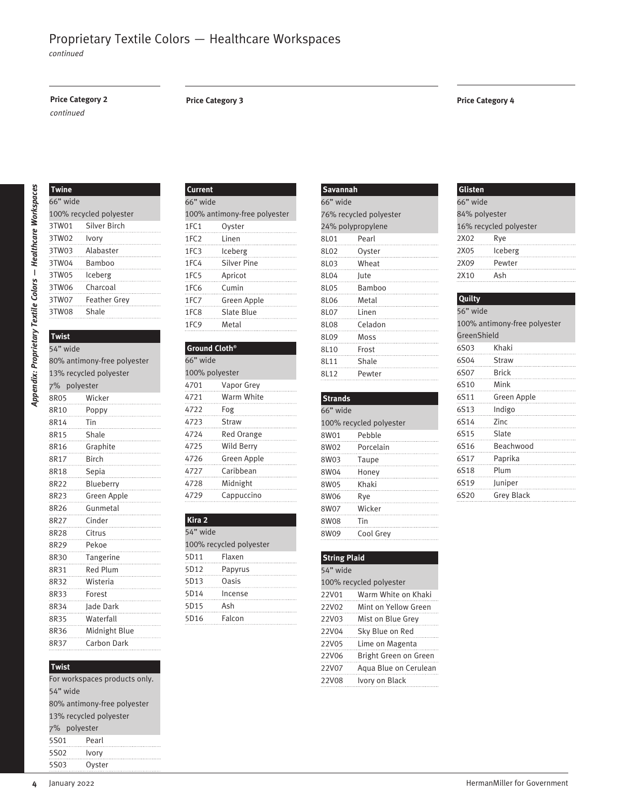*continued*

#### **Price Category 2 Price Category 3**

#### *continued*

#### **Price Category 4**

| <b>Twine</b> |                         |
|--------------|-------------------------|
| 66" wide     |                         |
|              | 100% recycled polyester |
| 3TW01        | Silver Birch            |
| 3TW02        | Ivory                   |
| 3TW03        | Alabaster               |
| 3TW04        | Bamboo                  |
| 3TW05        | Iceberg                 |
| 3TW06        | Charcoal                |
| 3TW07        | <b>Feather Grey</b>     |
| 3TW08        | Shale                   |
|              |                         |

### **Twist**

|                      | <b>Twine</b><br>Current                                 |                           | <b>Savannah</b>         |                     | Glisten                 |             |                              |
|----------------------|---------------------------------------------------------|---------------------------|-------------------------|---------------------|-------------------------|-------------|------------------------------|
| 66" wide<br>66" wide |                                                         | 66" wide                  |                         | 66" wide            |                         |             |                              |
|                      | 100% recycled polyester<br>100% antimony-free polyester |                           | 76% recycled polyester  |                     | 84% polyester           |             |                              |
| 3TW01                | Silver Birch                                            | 1FC1                      | Oyster                  |                     | 24% polypropylene       |             | 16% recycled polyester       |
| 3TW02                | Ivory                                                   | 1FC <sub>2</sub>          | Linen                   | 8L01                | Pearl                   | 2X02        | Rye                          |
| 3TW03                | Alabaster                                               | 1FC3                      | Iceberg                 | 8L02                | Oyster                  | 2X05        | Iceberg                      |
| 3TW04                | Bamboo                                                  | 1FC4                      | Silver Pine             | 8L03                | Wheat                   | 2X09        | Pewter                       |
| 3TW05                | Iceberg                                                 | 1FC5                      | Apricot                 | 8L04                | Jute                    | 2X10        | Ash                          |
| 3TW06                | Charcoal                                                | 1FC6                      | Cumin                   | 8L05                | Bamboo                  |             |                              |
| 3TW07                | Feather Grey                                            | 1FC7                      | Green Apple             | 8L06                | Metal                   | Quilty      |                              |
| 3TW08                | Shale                                                   | 1FC8                      | Slate Blue              | 8L07                | Linen                   | 56" wide    |                              |
|                      |                                                         | 1FC <sub>9</sub>          | Metal                   | 8L08                | Celadon                 |             | 100% antimony-free polyester |
| <b>Twist</b>         |                                                         |                           |                         | 8L09                | Moss                    | GreenShield |                              |
| 54" wide             |                                                         | Ground Cloth <sup>®</sup> |                         | 8L10                | Frost                   | 6S03        | Khaki                        |
|                      | 80% antimony-free polyester                             | 66" wide                  |                         | 8L11                | Shale                   | 6S04        | Straw                        |
|                      | 13% recycled polyester                                  | 100% polyester            |                         | 8L12                | Pewter                  | 6S07        | <b>Brick</b>                 |
| 7% polyester         |                                                         | 4701                      | Vapor Grey              |                     |                         | 6S10        | Mink                         |
| 8R05                 | Wicker                                                  | 4721                      | Warm White              | <b>Strands</b>      |                         | 6S11        | Green Apple                  |
| 8R10                 | Poppy                                                   | 4722                      | Fog                     | 66" wide            |                         | 6S13        | Indigo                       |
| 8R14                 | Tin                                                     | 4723                      | Straw                   |                     | 100% recycled polyester | 6S14        | Zinc                         |
| 8R15                 | Shale                                                   | 4724                      | Red Orange              | 8W01                | Pebble                  | 6S15        | Slate                        |
| 8R16                 | Graphite                                                | 4725                      | Wild Berry              | 8W02                | Porcelain               | 6S16        | Beachwood                    |
| 8R17                 | Birch                                                   | 4726                      | Green Apple             | 8W03                | Taupe                   | 6S17        | Paprika                      |
| 8R18                 | Sepia                                                   | 4727                      | Caribbean               | 8W04                | Honey                   | 6S18        | Plum                         |
| 8R22                 | Blueberry                                               | 4728                      | Midnight                | 8W05                | Khaki                   | 6S19        | Juniper                      |
| 8R23                 | Green Apple                                             | 4729                      | Cappuccino              | 8W06                | Rye                     | 6S20        | <b>Grey Black</b>            |
| 8R26                 | Gunmetal                                                |                           |                         | 8W07                | Wicker                  |             |                              |
| 8R27                 | Cinder                                                  | Kira 2                    |                         | 8W08                | Tin                     |             |                              |
| 8R28                 | Citrus                                                  | 54" wide                  |                         | 8W09                | Cool Grey               |             |                              |
| 8R29                 | Pekoe                                                   |                           | 100% recycled polyester |                     |                         |             |                              |
| 8R30                 | Tangerine                                               | 5D11                      | Flaxen                  | <b>String Plaid</b> |                         |             |                              |
| 8R31                 | Red Plum                                                | 5D12                      | Papyrus                 | 54" wide            |                         |             |                              |
| 8R32                 | Wisteria                                                | 5D13                      | Oasis                   |                     | 100% recycled polyester |             |                              |
| 8R33                 | Forest                                                  | 5D14                      | Incense                 | 22V01               | Warm White on Khaki     |             |                              |
| 8R34                 | Jade Dark                                               | 5D15                      | Ash                     | 22V02               | Mint on Yellow Green    |             |                              |
| 8R35                 | Waterfall                                               | 5D16                      | Falcon                  | 22V03               | Mist on Blue Grey       |             |                              |
| 8R36                 | Midnight Blue                                           |                           |                         | 22V04               | Sky Blue on Red         |             |                              |
| 8R37                 | Carbon Dark                                             |                           |                         | 22V05               | Lime on Magenta         |             |                              |
|                      |                                                         |                           |                         | 22V06               | Bright Green on Green   |             |                              |
| <b>Twist</b>         |                                                         |                           |                         | 22V07               | Aqua Blue on Cerulean   |             |                              |
|                      | For workspaces products only.                           |                           |                         | 22V08               | Ivory on Black          |             |                              |
| 54" wide             |                                                         |                           |                         |                     |                         |             |                              |
|                      | 80% antimony-free polyester                             |                           |                         |                     |                         |             |                              |
|                      | 13% recycled polyester                                  |                           |                         |                     |                         |             |                              |
| 7% polyester         |                                                         |                           |                         |                     |                         |             |                              |
| 5S01                 | Pearl                                                   |                           |                         |                     |                         |             |                              |
| 5S02                 | Ivory                                                   |                           |                         |                     |                         |             |                              |
| 5S03                 | Oyster                                                  |                           |                         |                     |                         |             |                              |

#### **Twist**

| For workspaces products only. |                             |  |
|-------------------------------|-----------------------------|--|
| 54" wide                      |                             |  |
|                               | 80% antimony-free polyester |  |
| 13% recycled polyester        |                             |  |
| 7% polyester                  |                             |  |
| 5S01                          | Pearl                       |  |
| 5S02                          | Ivory                       |  |
| 5S03                          | Ovster                      |  |

| Current    |                              |
|------------|------------------------------|
| 66" wide   |                              |
|            | 100% antimony-free polyester |
| 1FC1       | Oyster                       |
| 1FC2 Linen |                              |
| 1FC3       | Iceberg                      |
| 1FC4       | Silver Pine<br>.<br>         |
| 1FC5       | Apricot                      |
| 1FC6       | Cumin                        |
| 1FC7       | Green Apple<br>.             |
|            | 1FC8 Slate Blue              |
| 1FC9 Metal |                              |
|            |                              |

#### **Ground Cloth®** 66" wide 100% polyester 4701 Vapor Grey 4721 Warm White 4722 Fog 4723 Straw 4724 Red Orange 4725 Wild Berry 4726 Green Apple 4727 Caribbean 4728 Midnight 4729 Cappuccino

#### **Kira 2**

| 54" wide |                         |
|----------|-------------------------|
|          | 100% recycled polyester |
| 5D11     | Flaxen                  |
| 5D12     | Papyrus                 |
| 5D13     | <b>Oasis</b>            |
| 5D14     | Incense                 |
| 5D15     | Ash                     |
| 5D16     | Falcon                  |
|          |                         |

| <b>Savannah</b>   |                            |
|-------------------|----------------------------|
| 66" wide          |                            |
|                   | 76% recycled polyester     |
| 24% polypropylene |                            |
| 8L01              | Pearl                      |
| 8L02 Oyster       |                            |
| 8L03 Wheat        |                            |
| 8L04 Jute         |                            |
| 8L05 Bamboo       |                            |
|                   | <u>suana</u><br>8L06 Metal |
| 8L07 Linen        |                            |
| 8L08 Celadon      |                            |
| 8L09 Moss         |                            |
| 8L10 Frost        |                            |
| 8L11 Shale        |                            |
| 8L12              | Pewter                     |
|                   |                            |

### **Strands** 66" wide 100% recycled polyester 8W01 Pebble 8W02 Porcelain 8W03 Taupe 8W04 Honey 8W05 Khaki 8W06 Rye 8W07 Wicker 8W08 Tin

|             | 16% recycled polyester       |
|-------------|------------------------------|
| 2X02        | Rye                          |
| 2X05        | <b>Iceberg</b>               |
|             | 2X09 Pewter                  |
| 2X10 Ash    |                              |
|             |                              |
| Quilty      |                              |
| 56" wide    |                              |
|             | 100% antimony-free polyester |
| GreenShield |                              |
| 6S03        | Khaki                        |
|             | 6S04 Straw                   |
|             | 6S07 Brick                   |
|             | 6S10 Mink                    |
| 6S11        | Green Apple                  |
| 6S13        | Indigo                       |
| 6S14 Zinc   |                              |
|             | 6S15 Slate                   |
| 6S16        | Beachwood                    |

| 8W09                | Cool Grev               |
|---------------------|-------------------------|
|                     |                         |
| <b>String Plaid</b> |                         |
| 54" wide            |                         |
|                     | 100% recycled polyester |
| 22V01               | Warm White on Khaki     |
| 22V02               | Mint on Yellow Green    |
| 22V03               | Mist on Blue Grey       |
| 22V04               | Sky Blue on Red         |
| 22V05               | Lime on Magenta         |
| 22V06               | Bright Green on Green   |
| 22V07               | Agua Blue on Cerulean   |
| 22V08               | Ivory on Black          |